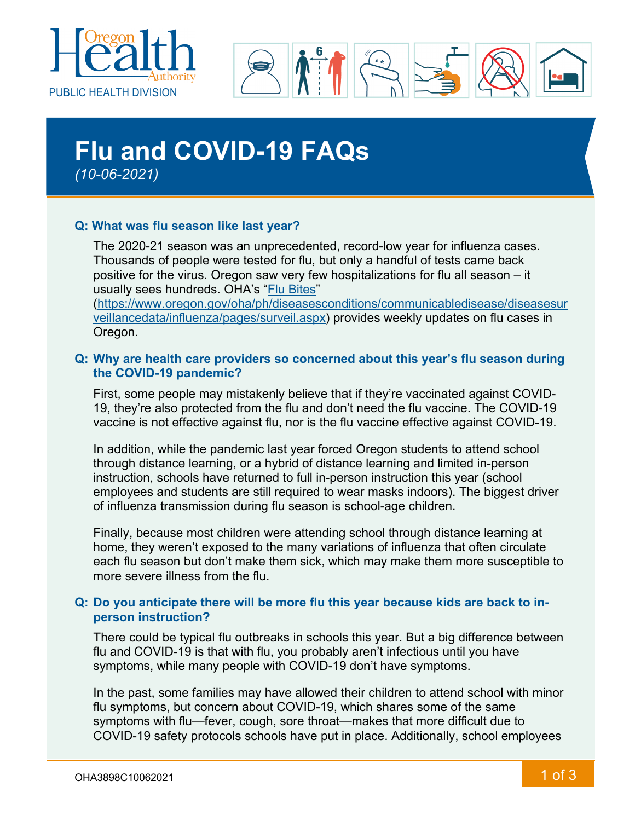



# **Flu and COVID-19 FAQs** *(10-06-2021)*

## **Q: What was flu season like last year?**

The 2020-21 season was an unprecedented, record-low year for influenza cases. Thousands of people were tested for flu, but only a handful of tests came back positive for the virus. Oregon saw very few hospitalizations for flu all season – it usually sees hundreds. OHA's "Flu [Bites"](https://www.oregon.gov/oha/ph/diseasesconditions/communicabledisease/diseasesurveillancedata/influenza/pages/surveil.aspx)

[\(https://www.oregon.gov/oha/ph/diseasesconditions/communicabledisease/diseasesur](https://www.oregon.gov/oha/ph/diseasesconditions/communicabledisease/diseasesurveillancedata/influenza/pages/surveil.aspx) [veillancedata/influenza/pages/surveil.aspx\)](https://www.oregon.gov/oha/ph/diseasesconditions/communicabledisease/diseasesurveillancedata/influenza/pages/surveil.aspx) provides weekly updates on flu cases in Oregon.

### **Q: Why are health care providers so concerned about this year's flu season during the COVID-19 pandemic?**

First, some people may mistakenly believe that if they're vaccinated against COVID-19, they're also protected from the flu and don't need the flu vaccine. The COVID-19 vaccine is not effective against flu, nor is the flu vaccine effective against COVID-19.

In addition, while the pandemic last year forced Oregon students to attend school through distance learning, or a hybrid of distance learning and limited in-person instruction, schools have returned to full in-person instruction this year (school employees and students are still required to wear masks indoors). The biggest driver of influenza transmission during flu season is school-age children.

Finally, because most children were attending school through distance learning at home, they weren't exposed to the many variations of influenza that often circulate each flu season but don't make them sick, which may make them more susceptible to more severe illness from the flu.

## **Q: Do you anticipate there will be more flu this year because kids are back to inperson instruction?**

There could be typical flu outbreaks in schools this year. But a big difference between flu and COVID-19 is that with flu, you probably aren't infectious until you have symptoms, while many people with COVID-19 don't have symptoms.

In the past, some families may have allowed their children to attend school with minor flu symptoms, but concern about COVID-19, which shares some of the same symptoms with flu—fever, cough, sore throat—makes that more difficult due to COVID-19 safety protocols schools have put in place. Additionally, school employees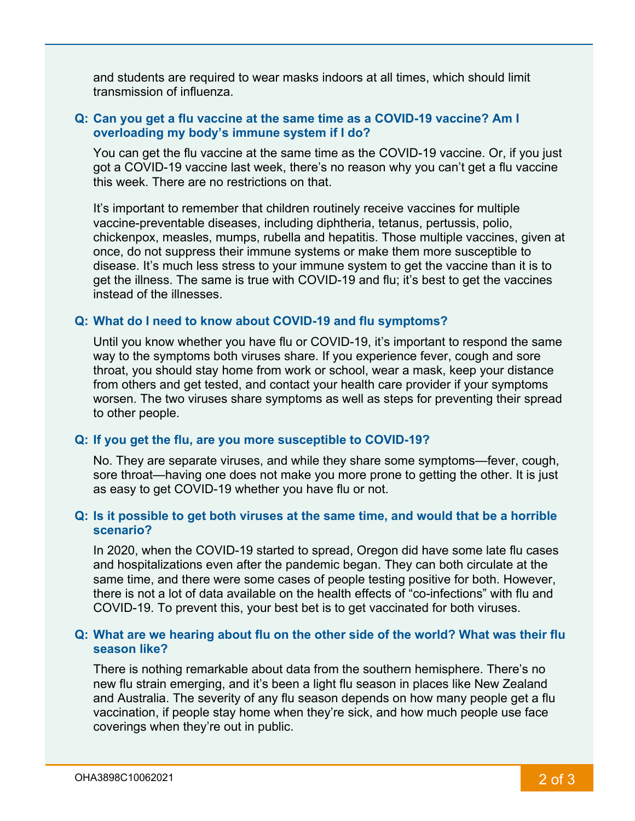and students are required to wear masks indoors at all times, which should limit transmission of influenza.

#### **Q: Can you get a flu vaccine at the same time as a COVID-19 vaccine? Am I overloading my body's immune system if I do?**

You can get the flu vaccine at the same time as the COVID-19 vaccine. Or, if you just got a COVID-19 vaccine last week, there's no reason why you can't get a flu vaccine this week. There are no restrictions on that.

It's important to remember that children routinely receive vaccines for multiple vaccine-preventable diseases, including diphtheria, tetanus, pertussis, polio, chickenpox, measles, mumps, rubella and hepatitis. Those multiple vaccines, given at once, do not suppress their immune systems or make them more susceptible to disease. It's much less stress to your immune system to get the vaccine than it is to get the illness. The same is true with COVID-19 and flu; it's best to get the vaccines instead of the illnesses.

#### **Q: What do I need to know about COVID-19 and flu symptoms?**

Until you know whether you have flu or COVID-19, it's important to respond the same way to the symptoms both viruses share. If you experience fever, cough and sore throat, you should stay home from work or school, wear a mask, keep your distance from others and get tested, and contact your health care provider if your symptoms worsen. The two viruses share symptoms as well as steps for preventing their spread to other people.

#### **Q: If you get the flu, are you more susceptible to COVID-19?**

No. They are separate viruses, and while they share some symptoms—fever, cough, sore throat—having one does not make you more prone to getting the other. It is just as easy to get COVID-19 whether you have flu or not.

### **Q: Is it possible to get both viruses at the same time, and would that be a horrible scenario?**

In 2020, when the COVID-19 started to spread, Oregon did have some late flu cases and hospitalizations even after the pandemic began. They can both circulate at the same time, and there were some cases of people testing positive for both. However, there is not a lot of data available on the health effects of "co-infections" with flu and COVID-19. To prevent this, your best bet is to get vaccinated for both viruses.

#### **Q: What are we hearing about flu on the other side of the world? What was their flu season like?**

There is nothing remarkable about data from the southern hemisphere. There's no new flu strain emerging, and it's been a light flu season in places like New Zealand and Australia. The severity of any flu season depends on how many people get a flu vaccination, if people stay home when they're sick, and how much people use face coverings when they're out in public.